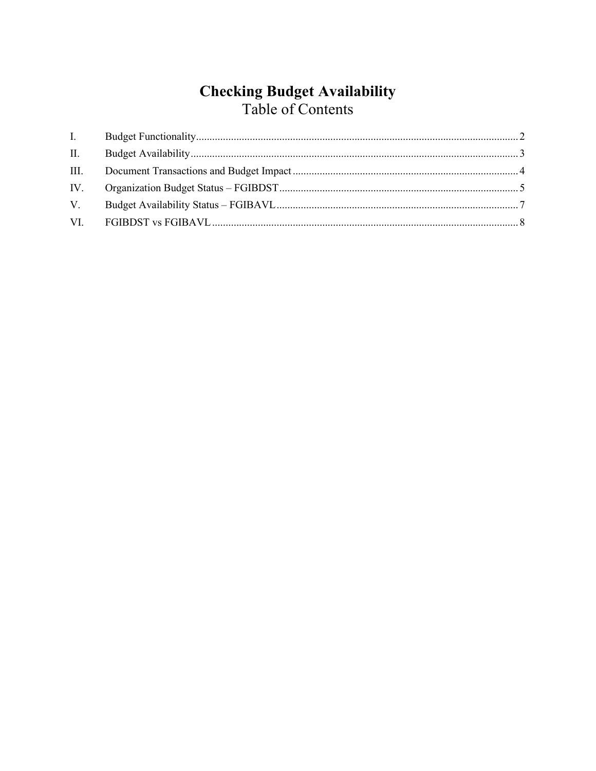# **Checking Budget Availability**<br>Table of Contents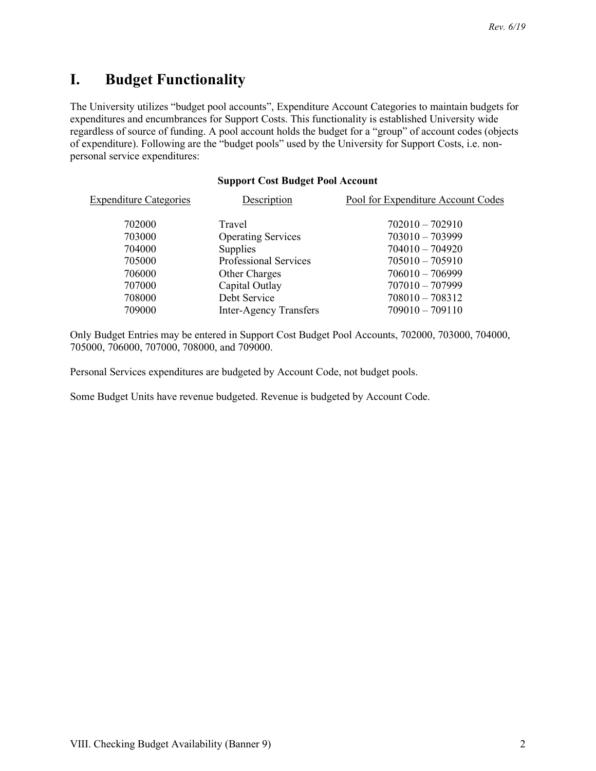## <span id="page-1-0"></span>**I. Budget Functionality**

The University utilizes "budget pool accounts", Expenditure Account Categories to maintain budgets for expenditures and encumbrances for Support Costs. This functionality is established University wide regardless of source of funding. A pool account holds the budget for a "group" of account codes (objects of expenditure). Following are the "budget pools" used by the University for Support Costs, i.e. nonpersonal service expenditures:

#### **Support Cost Budget Pool Account**

| <b>Expenditure Categories</b> | Description                   | Pool for Expenditure Account Codes |
|-------------------------------|-------------------------------|------------------------------------|
| 702000                        | Travel                        | $702010 - 702910$                  |
| 703000                        | <b>Operating Services</b>     | $703010 - 703999$                  |
| 704000                        | Supplies                      | $704010 - 704920$                  |
| 705000                        | <b>Professional Services</b>  | $705010 - 705910$                  |
| 706000                        | <b>Other Charges</b>          | $706010 - 706999$                  |
| 707000                        | Capital Outlay                | $707010 - 707999$                  |
| 708000                        | Debt Service                  | $708010 - 708312$                  |
| 709000                        | <b>Inter-Agency Transfers</b> | $709010 - 709110$                  |

Only Budget Entries may be entered in Support Cost Budget Pool Accounts, 702000, 703000, 704000, 705000, 706000, 707000, 708000, and 709000.

Personal Services expenditures are budgeted by Account Code, not budget pools.

Some Budget Units have revenue budgeted. Revenue is budgeted by Account Code.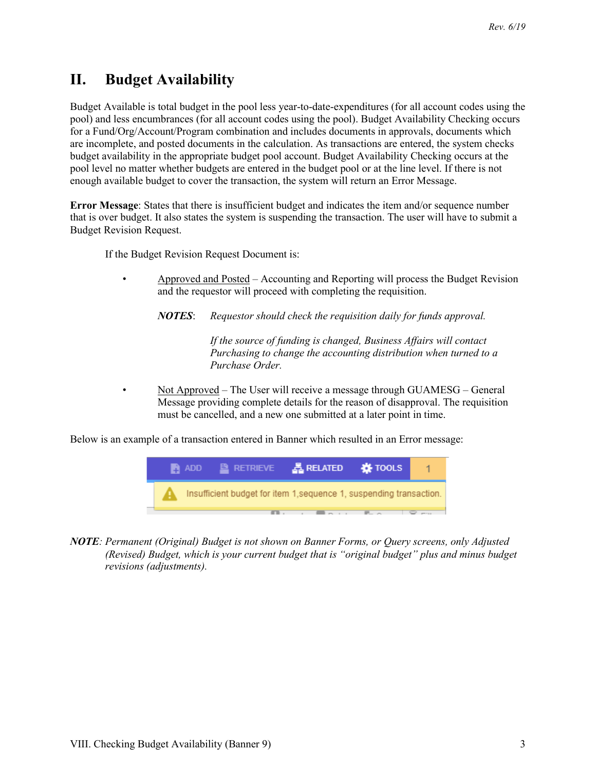## <span id="page-2-0"></span>**II. Budget Availability**

Budget Available is total budget in the pool less year-to-date-expenditures (for all account codes using the pool) and less encumbrances (for all account codes using the pool). Budget Availability Checking occurs for a Fund/Org/Account/Program combination and includes documents in approvals, documents which are incomplete, and posted documents in the calculation. As transactions are entered, the system checks budget availability in the appropriate budget pool account. Budget Availability Checking occurs at the pool level no matter whether budgets are entered in the budget pool or at the line level. If there is not enough available budget to cover the transaction, the system will return an Error Message.

**Error Message**: States that there is insufficient budget and indicates the item and/or sequence number that is over budget. It also states the system is suspending the transaction. The user will have to submit a Budget Revision Request.

If the Budget Revision Request Document is:

- Approved and Posted Accounting and Reporting will process the Budget Revision and the requestor will proceed with completing the requisition.
	- *NOTES*: *Requestor should check the requisition daily for funds approval.*

*If the source of funding is changed, Business Affairs will contact Purchasing to change the accounting distribution when turned to a Purchase Order.*

Not Approved - The User will receive a message through GUAMESG - General Message providing complete details for the reason of disapproval. The requisition must be cancelled, and a new one submitted at a later point in time.

Below is an example of a transaction entered in Banner which resulted in an Error message:



*NOTE: Permanent (Original) Budget is not shown on Banner Forms, or Query screens, only Adjusted (Revised) Budget, which is your current budget that is "original budget" plus and minus budget revisions (adjustments).*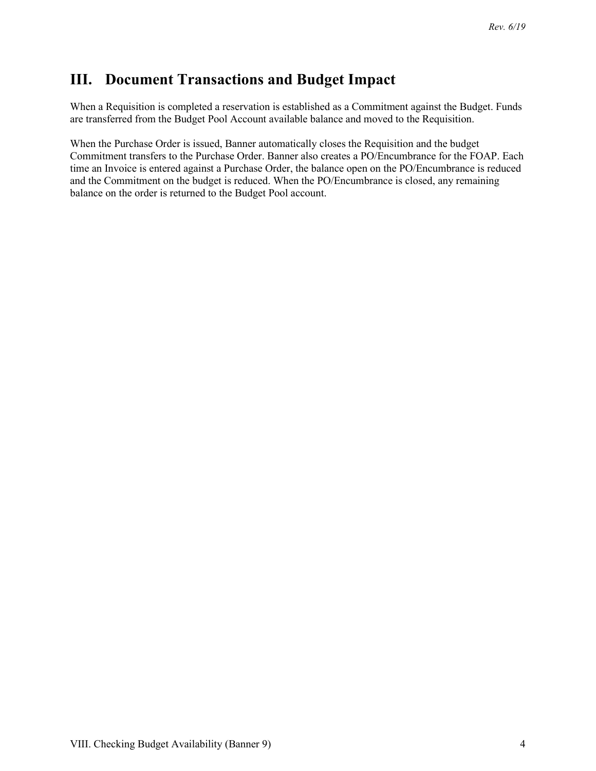#### <span id="page-3-0"></span>**III. Document Transactions and Budget Impact**

When a Requisition is completed a reservation is established as a Commitment against the Budget. Funds are transferred from the Budget Pool Account available balance and moved to the Requisition.

When the Purchase Order is issued, Banner automatically closes the Requisition and the budget Commitment transfers to the Purchase Order. Banner also creates a PO/Encumbrance for the FOAP. Each time an Invoice is entered against a Purchase Order, the balance open on the PO/Encumbrance is reduced and the Commitment on the budget is reduced. When the PO/Encumbrance is closed, any remaining balance on the order is returned to the Budget Pool account.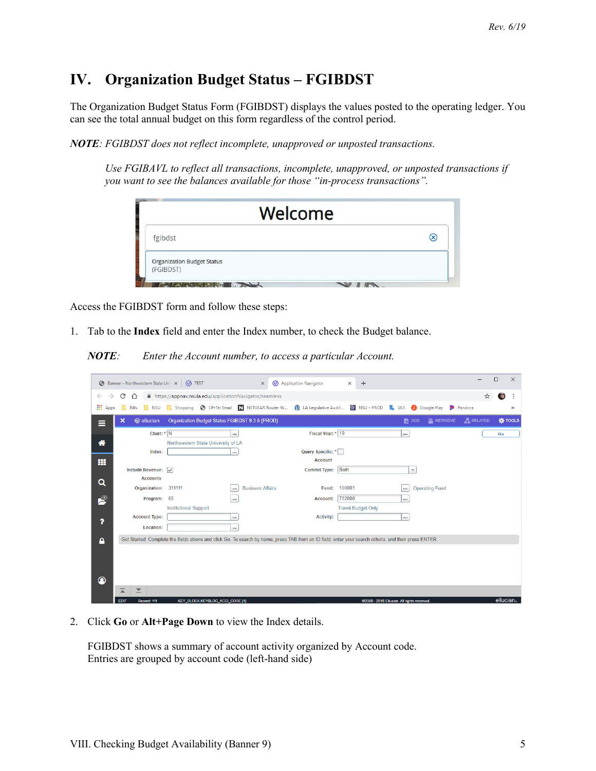## <span id="page-4-0"></span>**IV. Organization Budget Status – FGIBDST**

The Organization Budget Status Form (FGIBDST) displays the values posted to the operating ledger. You can see the total annual budget on this form regardless of the control period.

*NOTE: FGIBDST does not reflect incomplete, unapproved or unposted transactions.* 

*Use FGIBAVL to reflect all transactions, incomplete, unapproved, or unposted transactions if you want to see the balances available for those "in-process transactions".*

| Œ. |
|----|
|    |
|    |

Access the FGIBDST form and follow these steps:

1. Tab to the **Index** field and enter the Index number, to check the Budget balance.

*NOTE: Enter the Account number, to access a particular Account.*

|                            |                              | (O) Application Navigator<br>$\times$                                                                                                                       | $+$<br>×                                                                                                                                                                                                                                                |                                                                                                                                    |                                                                                                                                                                                                           |                                             | $\times$           |
|----------------------------|------------------------------|-------------------------------------------------------------------------------------------------------------------------------------------------------------|---------------------------------------------------------------------------------------------------------------------------------------------------------------------------------------------------------------------------------------------------------|------------------------------------------------------------------------------------------------------------------------------------|-----------------------------------------------------------------------------------------------------------------------------------------------------------------------------------------------------------|---------------------------------------------|--------------------|
| C<br>⇧                     |                              |                                                                                                                                                             |                                                                                                                                                                                                                                                         |                                                                                                                                    | ☆                                                                                                                                                                                                         | 電                                           |                    |
| <b>NSU</b><br><b>Bills</b> |                              |                                                                                                                                                             | N NSU - PROD                                                                                                                                                                                                                                            | $\mathbb{Z}$ ULS<br><b>Google Play</b>                                                                                             | Pandora                                                                                                                                                                                                   |                                             | $\gg$              |
| <b>@</b> ellucian<br>×     |                              |                                                                                                                                                             |                                                                                                                                                                                                                                                         | $\blacksquare$ ADD                                                                                                                 | <b>是RELATED</b>                                                                                                                                                                                           |                                             | <b>K</b> TOOLS     |
|                            | $\cdots$                     |                                                                                                                                                             |                                                                                                                                                                                                                                                         | $\cdots$                                                                                                                           |                                                                                                                                                                                                           | Go                                          |                    |
|                            |                              |                                                                                                                                                             |                                                                                                                                                                                                                                                         |                                                                                                                                    |                                                                                                                                                                                                           |                                             |                    |
| Index:                     |                              |                                                                                                                                                             |                                                                                                                                                                                                                                                         |                                                                                                                                    |                                                                                                                                                                                                           |                                             |                    |
|                            |                              |                                                                                                                                                             |                                                                                                                                                                                                                                                         |                                                                                                                                    |                                                                                                                                                                                                           |                                             |                    |
| <b>Accounts</b>            |                              |                                                                                                                                                             |                                                                                                                                                                                                                                                         |                                                                                                                                    |                                                                                                                                                                                                           |                                             |                    |
|                            |                              | <b>Business Affairs</b><br>Fund:                                                                                                                            | 100001                                                                                                                                                                                                                                                  | $\cdots$                                                                                                                           |                                                                                                                                                                                                           |                                             |                    |
|                            |                              | Account:                                                                                                                                                    | 702000                                                                                                                                                                                                                                                  |                                                                                                                                    |                                                                                                                                                                                                           |                                             |                    |
|                            | <b>Institutional Support</b> |                                                                                                                                                             | <b>Travel Budget Only</b>                                                                                                                                                                                                                               |                                                                                                                                    |                                                                                                                                                                                                           |                                             |                    |
| <b>Account Type:</b>       |                              | <b>Activity:</b>                                                                                                                                            |                                                                                                                                                                                                                                                         |                                                                                                                                    |                                                                                                                                                                                                           |                                             |                    |
| <b>Location:</b>           |                              |                                                                                                                                                             |                                                                                                                                                                                                                                                         |                                                                                                                                    |                                                                                                                                                                                                           |                                             |                    |
|                            |                              |                                                                                                                                                             |                                                                                                                                                                                                                                                         |                                                                                                                                    |                                                                                                                                                                                                           |                                             |                    |
|                            |                              |                                                                                                                                                             |                                                                                                                                                                                                                                                         |                                                                                                                                    |                                                                                                                                                                                                           |                                             |                    |
|                            |                              |                                                                                                                                                             |                                                                                                                                                                                                                                                         |                                                                                                                                    |                                                                                                                                                                                                           |                                             |                    |
|                            |                              |                                                                                                                                                             |                                                                                                                                                                                                                                                         |                                                                                                                                    |                                                                                                                                                                                                           |                                             |                    |
|                            |                              |                                                                                                                                                             |                                                                                                                                                                                                                                                         |                                                                                                                                    |                                                                                                                                                                                                           |                                             |                    |
|                            |                              |                                                                                                                                                             |                                                                                                                                                                                                                                                         |                                                                                                                                    |                                                                                                                                                                                                           |                                             |                    |
|                            |                              | <b>Banner - Northwestern State Univ X   @ TEST</b><br>$\Box$<br>Chart: * N<br>Include Revenue: $\sqrt{}$<br>Organization: 311111<br>$\cdots$<br>Program: 60 | A https://appnav.nsula.edu/applicationNavigator/seamless<br>Shopping <b>C</b> CP-Tel Email <b>N</b> NETGEAR Router W<br>Organization Budget Status FGIBDST 9.3.6 (PROD)<br>Northwestern State University of LA<br><b>Account</b><br><b>Commit Type:</b> | <b>1</b> LA Legislative Audit<br>Fiscal Year: * 19<br>Query Specific: *<br><b>Both</b><br><b>IVEV BLOCK IVEVBLOC, ACCL CODE M1</b> | $\overline{\mathbf{v}}$<br><b>Operating Fund</b><br>Get Started: Complete the fields above and click Go. To search by name, press TAB from an ID field, enter your search criteria, and then press ENTER. | $P$ RETRIEVE<br>GODDO, ODAD FILLERY AIL CAN | $\Box$<br>allucian |

2. Click **Go** or **Alt+Page Down** to view the Index details.

FGIBDST shows a summary of account activity organized by Account code. Entries are grouped by account code (left-hand side)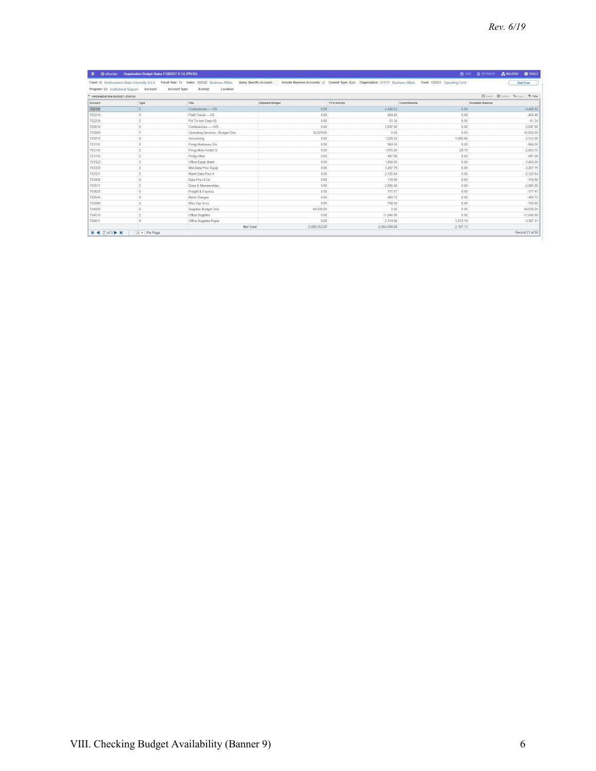|                                   | X @ ellucian Organization Budget Status FGIBDST 9.3.6 (PROD) |                                                                                                                        |                        |                                                                                                                 |             | ■ ADD ALETRIEVE <b>品RELATED ☆ TOOLS</b> |                                                                         |  |
|-----------------------------------|--------------------------------------------------------------|------------------------------------------------------------------------------------------------------------------------|------------------------|-----------------------------------------------------------------------------------------------------------------|-------------|-----------------------------------------|-------------------------------------------------------------------------|--|
|                                   |                                                              | Chart: N Northwestern State University of LA Fiscal Year: 19 Index: 106020 Business Affairs<br>Query Specific Account: |                        | Include Revenue Accounts: v Commit Type: Both Organization: 311111 Business Affairs Fund: 100001 Operating Fund |             |                                         | <b>Start Over</b>                                                       |  |
| Program: 60 Institutional Support | Account:                                                     | Account Type:<br>Activity:<br>Location:                                                                                |                        |                                                                                                                 |             |                                         |                                                                         |  |
| * ORGANIZATION BUDGET STATUS      |                                                              |                                                                                                                        |                        |                                                                                                                 |             |                                         | <b>Ed</b> Insert <b>ED</b> Delete <sup>F</sup> m Copy <b>Y</b> , Filter |  |
| Account                           | Type                                                         | Title                                                                                                                  | <b>Adjusted Budget</b> | <b>YTD Activity</b>                                                                                             | Commitments | Available Balance                       |                                                                         |  |
| 702110                            | E                                                            | Conferences------- I/S                                                                                                 | 0.00                   | 4.449.02                                                                                                        | 0.00        |                                         | $-4.449.02$                                                             |  |
| 702210                            | E                                                            | Field Travel----- I/S                                                                                                  | 0.00                   | 454.45                                                                                                          | 0.00        |                                         | $-454.45$                                                               |  |
| 702230                            | E                                                            | Fld Tvl-Intr Cmp-I/S                                                                                                   | 0.00                   | 51.34                                                                                                           | 0.00        |                                         | $-51.34$                                                                |  |
| 702610                            | E                                                            | Conferences------ O/S                                                                                                  | 0.00                   | 3,047.50                                                                                                        | 0.00        |                                         | $-3.047.50$                                                             |  |
| 703000                            | E                                                            | Operating Services - Budget Only                                                                                       | 16,829.00              | 0.00                                                                                                            | 0.00        |                                         | 16,829.00                                                               |  |
| 703010                            | E                                                            | Advertising                                                                                                            | 0.00                   | 1.229.32                                                                                                        | 1,085.68    |                                         | $-2.315.00$                                                             |  |
| 703112                            | E                                                            | Prnto-Stationary Etc.                                                                                                  | 0.00                   | 984.50                                                                                                          | 0.00        |                                         | $-984.50$                                                               |  |
| 703116                            | E                                                            | Prntg-Mnls Hndbk S                                                                                                     | 0.00                   | 1,975.00                                                                                                        | 28.70       |                                         | $-2.003.70$                                                             |  |
| 703119                            | F                                                            | Prntg-Other                                                                                                            | 0.00                   | 497.90                                                                                                          | 0.00        |                                         | $-497.90$                                                               |  |
| 703322                            | E                                                            | Office Equip Maint                                                                                                     | 0.00                   | 1.458.00                                                                                                        | 0.00        |                                         | $-1.458.00$                                                             |  |
| 703330                            | E                                                            | Mnt-Data Proc Equip                                                                                                    | 0.00                   | 3.207.79                                                                                                        | 0.00        |                                         | $-3,207.79$                                                             |  |
| 703331                            | E                                                            | Maint Data Proc It                                                                                                     | 0.00                   | 2,125.64                                                                                                        | 0.00        |                                         | $-2.125.64$                                                             |  |
| 703436                            | E                                                            | Data Proc It Lic                                                                                                       | 0.00                   | 118.50                                                                                                          | 0.00        |                                         | $-118.50$                                                               |  |
| 703511                            | E                                                            | Dues & Memberships                                                                                                     | 0.00                   | 2,085.00                                                                                                        | 0.00        |                                         | $-2.085.00$                                                             |  |
| 703620                            | E                                                            | Freight & Express                                                                                                      | 0.00                   | 177.57                                                                                                          | 0.00        |                                         | $-177.57$                                                               |  |
| 703940                            | E                                                            | <b>Bank Charges</b>                                                                                                    | 0.00                   | 484.72                                                                                                          | 0.00        |                                         | $-484.72$                                                               |  |
| 703990                            | E                                                            | Misc Opr Svcs                                                                                                          | 0.00                   | 758.00                                                                                                          | 0.00        |                                         | $-758.00$                                                               |  |
| 704000                            | F                                                            | Supplies Budget Only                                                                                                   | 44.935.00              | 0.00                                                                                                            | 0.00        |                                         | 44,935.00                                                               |  |
| 704010                            | E                                                            | Office Supplies                                                                                                        | 0.00                   | 17.840.90                                                                                                       | 0.00        |                                         | $-17.840.90$                                                            |  |
| 704011                            | E                                                            | Office Supplies-Paper                                                                                                  | 0.00                   | 2.314.56                                                                                                        | 1.072.75    |                                         | $-3.387.31$                                                             |  |
|                                   |                                                              | Net Total                                                                                                              | $-2,686,552.00$        | $-2.464.699.80$                                                                                                 | 2,187.13    |                                         |                                                                         |  |
| $M \triangleleft (2)$ of 3 $M$    | 20 v Per Page                                                |                                                                                                                        |                        |                                                                                                                 |             |                                         | Record 21 of 50                                                         |  |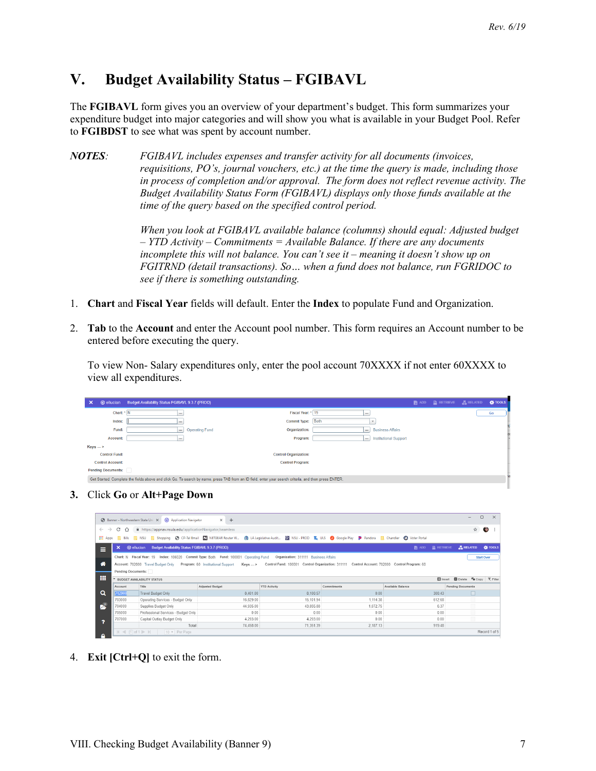#### <span id="page-6-0"></span>**V. Budget Availability Status – FGIBAVL**

The **FGIBAVL** form gives you an overview of your department's budget. This form summarizes your expenditure budget into major categories and will show you what is available in your Budget Pool. Refer to **FGIBDST** to see what was spent by account number.

*NOTES: FGIBAVL includes expenses and transfer activity for all documents (invoices, requisitions, PO's, journal vouchers, etc.) at the time the query is made, including those in process of completion and/or approval. The form does not reflect revenue activity. The Budget Availability Status Form (FGIBAVL) displays only those funds available at the time of the query based on the specified control period.*

> *When you look at FGIBAVL available balance (columns) should equal: Adjusted budget – YTD Activity – Commitments = Available Balance. If there are any documents incomplete this will not balance. You can't see it – meaning it doesn't show up on FGITRND (detail transactions). So… when a fund does not balance, run FGRIDOC to see if there is something outstanding.*

- 1. **Chart** and **Fiscal Year** fields will default. Enter the **Index** to populate Fund and Organization.
- 2. **Tab** to the **Account** and enter the Account pool number. This form requires an Account number to be entered before executing the query.

To view Non- Salary expenditures only, enter the pool account 70XXXX if not enter 60XXXX to view all expenditures.

| $\boldsymbol{\mathsf{x}}$ | <b>@ ellucian</b> Budget Availability Status FGIBAVL 9.3.7 (PROD)                                                                                     | <b>ADD E</b> RETRIEVE <b><i>A</i></b> RELATED | <b>TOOLS</b> |
|---------------------------|-------------------------------------------------------------------------------------------------------------------------------------------------------|-----------------------------------------------|--------------|
| Chart: * N                | Fiscal Year: * 19<br>$\cdots$<br>1.11                                                                                                                 |                                               | Go           |
| Index:                    | Commit Type: Both<br>٠<br>                                                                                                                            |                                               |              |
| Fund:                     | <b>Business Affairs</b><br><b>Operating Fund</b><br>Organization:<br><br>$\cdots$                                                                     |                                               |              |
| Account:                  | <b>Institutional Support</b><br>Program:<br>$\cdots$<br>$\cdots$                                                                                      |                                               |              |
| $Keys - >$                |                                                                                                                                                       |                                               |              |
| <b>Control Fund:</b>      | <b>Control Organization:</b>                                                                                                                          |                                               |              |
| <b>Control Account:</b>   | <b>Control Program:</b>                                                                                                                               |                                               |              |
| <b>Pending Documents:</b> |                                                                                                                                                       |                                               |              |
|                           | Get Started: Complete the fields above and click Go. To search by name, press TAB from an ID field, enter your search criteria, and then press ENTER. |                                               |              |
|                           |                                                                                                                                                       |                                               |              |

#### **3.** Click **Go** or **Alt+Page Down**

|                            |                    | S Banner - Northwestern State Unit X (0) Application Navigator | $x +$                                                                                |                                                                                                                                                        |                                                                                                                                                                            |                   | $\Box$                                           | $\times$ |
|----------------------------|--------------------|----------------------------------------------------------------|--------------------------------------------------------------------------------------|--------------------------------------------------------------------------------------------------------------------------------------------------------|----------------------------------------------------------------------------------------------------------------------------------------------------------------------------|-------------------|--------------------------------------------------|----------|
| $\leftarrow$ $\rightarrow$ | $C \cap$           | https://appnav.nsula.edu/applicationNavigator/seamless         |                                                                                      |                                                                                                                                                        |                                                                                                                                                                            |                   | ☆<br>$\bullet$                                   |          |
| : Apps ■                   |                    |                                                                |                                                                                      | Bills NGU Roopping @ CP-Tel Email N NETGEAR Router W (1) LA Legislative Audit (2) NSU - PROD Review Of Google Play P Pandora R Chandler @ Voter Portal |                                                                                                                                                                            |                   |                                                  |          |
| $\equiv$                   | $\mathbf{x}$       | @ ellucian Budget Availability Status FGIBAVL 9.3.7 (PROD)     |                                                                                      |                                                                                                                                                        |                                                                                                                                                                            |                   | <b>图 ADD</b> 图 RETRIEVE <b>晶 RELATED</b> 微 TOOLS |          |
|                            |                    |                                                                | Chart: N Fiscal Year: 19 Index: 106020 Commit Type: Both Fund: 100001 Operating Fund | Organization: 311111 Business Affairs                                                                                                                  |                                                                                                                                                                            |                   | <b>Start Over</b>                                |          |
| ⋘                          |                    |                                                                |                                                                                      |                                                                                                                                                        | Account: 702000 Travel Budget Only Program: 60 Institutional Support Keys  > Control Fund: 100001 Control Organization: 311111 Control Account: 702000 Control Program: 60 |                   |                                                  |          |
|                            |                    |                                                                |                                                                                      |                                                                                                                                                        |                                                                                                                                                                            |                   |                                                  |          |
|                            | Pending Documents: |                                                                |                                                                                      |                                                                                                                                                        |                                                                                                                                                                            |                   |                                                  |          |
|                            |                    | <b>BUDGET AVAILABILITY STATUS</b>                              |                                                                                      |                                                                                                                                                        |                                                                                                                                                                            |                   | Insert <b>Delete Fu</b> Copy <b>T</b> , Filter   |          |
|                            | Account            | Title                                                          | <b>Adjusted Budget</b>                                                               | <b>YTD Activity</b>                                                                                                                                    | Commitments                                                                                                                                                                | Available Balance | Pending Documents                                |          |
|                            | 702000             | Travel Budget Only                                             | 8.401.00                                                                             | 8.100.57                                                                                                                                               | 0.00                                                                                                                                                                       | 300 43            |                                                  |          |
|                            | 703000             | Operating Services - Budget Only                               | 16.829.00                                                                            | 15.101.94                                                                                                                                              | 1.114.38                                                                                                                                                                   | 612.68            |                                                  |          |
| Ω                          | 704000             | Supplies Budget Only                                           | 44.935.00                                                                            | 43.855.88                                                                                                                                              | 1.072.75                                                                                                                                                                   | 6.37              | D                                                |          |
| m                          | 705000             | Professional Services - Budget Only                            | 0.00                                                                                 | 0.00                                                                                                                                                   | 0.00                                                                                                                                                                       | 0.00              | Ō                                                |          |
|                            | 707000             | Capital Outlay Budget Only                                     | 4,293.00                                                                             | 4.293.00                                                                                                                                               | 0.00                                                                                                                                                                       | 0.00              | m                                                |          |
| ,                          |                    | Total                                                          | 74.458.00                                                                            | 71.351.39                                                                                                                                              | 2.187.13                                                                                                                                                                   | 919.48            |                                                  |          |

4. **Exit [Ctrl+Q]** to exit the form.